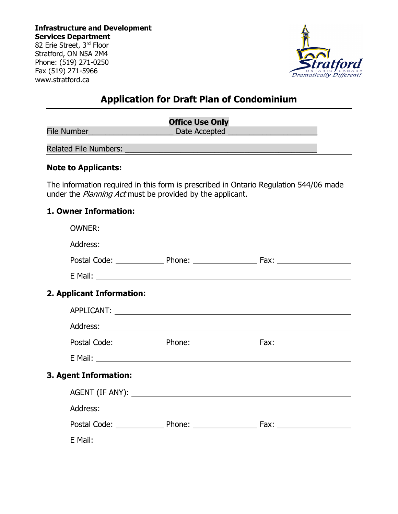**Infrastructure and Development Services Department** 82 Erie Street, 3rd Floor Stratford, ON N5A 2M4 Phone: (519) 271-0250 Fax (519) 271-5966

www.stratford.ca



## **Application for Draft Plan of Condominium**

|                       | <b>Office Use Only</b> |
|-----------------------|------------------------|
| File Number           | Date Accepted          |
| Related File Numbers: |                        |

#### **Note to Applicants:**

The information required in this form is prescribed in Ontario Regulation 544/06 made under the *Planning Act* must be provided by the applicant.

#### **1. Owner Information:**

| 2. Applicant Information: |  |
|---------------------------|--|
|                           |  |
|                           |  |
|                           |  |
|                           |  |
| 3. Agent Information:     |  |
|                           |  |
|                           |  |
|                           |  |
|                           |  |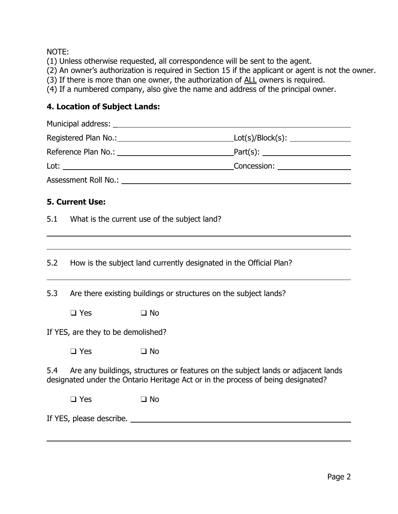## NOTE:

 $\overline{a}$ 

- (1) Unless otherwise requested, all correspondence will be sent to the agent.
- (2) An owner's authorization is required in Section 15 if the applicant or agent is not the owner.
- (3) If there is more than one owner, the authorization of ALL owners is required.
- (4) If a numbered company, also give the name and address of the principal owner.

## **4. Location of Subject Lands:**

|                                                                                                                                                                             |                                                                    | Assessment Roll No.: Letter and the contract of the contract of the contract of the contract of the contract of the contract of the contract of the contract of the contract of the contract of the contract of the contract o |  |  |  |
|-----------------------------------------------------------------------------------------------------------------------------------------------------------------------------|--------------------------------------------------------------------|--------------------------------------------------------------------------------------------------------------------------------------------------------------------------------------------------------------------------------|--|--|--|
|                                                                                                                                                                             | <b>5. Current Use:</b>                                             |                                                                                                                                                                                                                                |  |  |  |
| 5.1                                                                                                                                                                         | What is the current use of the subject land?                       |                                                                                                                                                                                                                                |  |  |  |
| 5.2                                                                                                                                                                         | How is the subject land currently designated in the Official Plan? |                                                                                                                                                                                                                                |  |  |  |
|                                                                                                                                                                             |                                                                    |                                                                                                                                                                                                                                |  |  |  |
| 5.3                                                                                                                                                                         |                                                                    | Are there existing buildings or structures on the subject lands?                                                                                                                                                               |  |  |  |
|                                                                                                                                                                             | $\Box$ Yes                                                         | $\Box$ No                                                                                                                                                                                                                      |  |  |  |
| If YES, are they to be demolished?                                                                                                                                          |                                                                    |                                                                                                                                                                                                                                |  |  |  |
|                                                                                                                                                                             | $\square$ Yes                                                      | $\Box$ No                                                                                                                                                                                                                      |  |  |  |
| 5.4<br>Are any buildings, structures or features on the subject lands or adjacent lands<br>designated under the Ontario Heritage Act or in the process of being designated? |                                                                    |                                                                                                                                                                                                                                |  |  |  |
|                                                                                                                                                                             | $\Box$ Yes                                                         | $\Box$ No                                                                                                                                                                                                                      |  |  |  |
| If YES, please describe.                                                                                                                                                    |                                                                    |                                                                                                                                                                                                                                |  |  |  |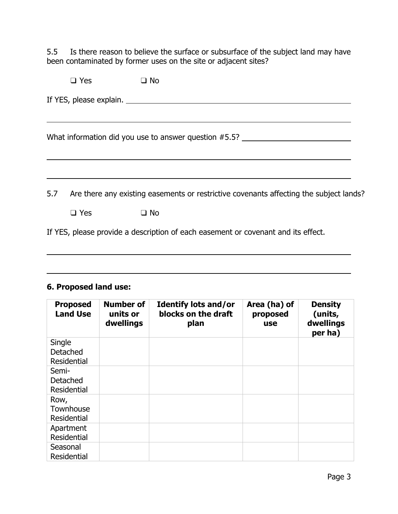5.5 Is there reason to believe the surface or subsurface of the subject land may have been contaminated by former uses on the site or adjacent sites?

|     | $\Box$ Yes | $\Box$ No                                                                              |  |  |
|-----|------------|----------------------------------------------------------------------------------------|--|--|
|     |            | If YES, please explain.                                                                |  |  |
|     |            | What information did you use to answer question #5.5? __________________________       |  |  |
|     |            |                                                                                        |  |  |
| 5.7 |            | Are there any existing easements or restrictive covenants affecting the subject lands? |  |  |

❑ Yes ❑ No

If YES, please provide a description of each easement or covenant and its effect.

#### **6. Proposed land use:**

 $\overline{a}$ 

l

| <b>Proposed</b><br><b>Land Use</b>              | <b>Number of</b><br>units or<br>dwellings | <b>Identify lots and/or</b><br>blocks on the draft<br>plan | Area (ha) of<br>proposed<br><b>use</b> | <b>Density</b><br>(units,<br>dwellings<br>per ha) |
|-------------------------------------------------|-------------------------------------------|------------------------------------------------------------|----------------------------------------|---------------------------------------------------|
| Single<br><b>Detached</b><br><b>Residential</b> |                                           |                                                            |                                        |                                                   |
| Semi-<br><b>Detached</b><br><b>Residential</b>  |                                           |                                                            |                                        |                                                   |
| Row,<br>Townhouse<br><b>Residential</b>         |                                           |                                                            |                                        |                                                   |
| Apartment<br><b>Residential</b>                 |                                           |                                                            |                                        |                                                   |
| Seasonal<br><b>Residential</b>                  |                                           |                                                            |                                        |                                                   |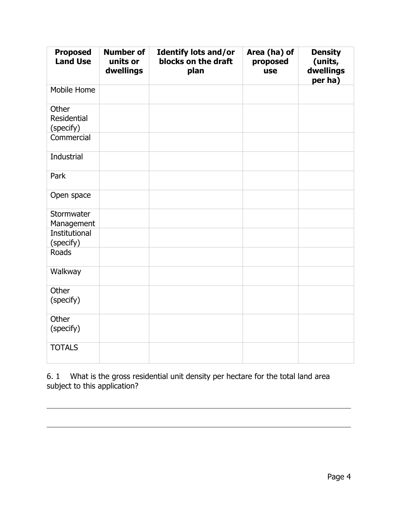| <b>Proposed</b><br><b>Land Use</b> | <b>Number of</b><br>units or<br>dwellings | <b>Identify lots and/or</b><br>blocks on the draft<br>plan | Area (ha) of<br>proposed<br>use | <b>Density</b><br>(units,<br>dwellings<br>per ha) |
|------------------------------------|-------------------------------------------|------------------------------------------------------------|---------------------------------|---------------------------------------------------|
| Mobile Home                        |                                           |                                                            |                                 |                                                   |
| Other<br>Residential<br>(specify)  |                                           |                                                            |                                 |                                                   |
| Commercial                         |                                           |                                                            |                                 |                                                   |
| Industrial                         |                                           |                                                            |                                 |                                                   |
| Park                               |                                           |                                                            |                                 |                                                   |
| Open space                         |                                           |                                                            |                                 |                                                   |
| Stormwater<br>Management           |                                           |                                                            |                                 |                                                   |
| <b>Institutional</b><br>(specify)  |                                           |                                                            |                                 |                                                   |
| Roads                              |                                           |                                                            |                                 |                                                   |
| Walkway                            |                                           |                                                            |                                 |                                                   |
| Other<br>(specify)                 |                                           |                                                            |                                 |                                                   |
| Other<br>(specify)                 |                                           |                                                            |                                 |                                                   |
| <b>TOTALS</b>                      |                                           |                                                            |                                 |                                                   |

6. 1 What is the gross residential unit density per hectare for the total land area subject to this application?

 $\overline{a}$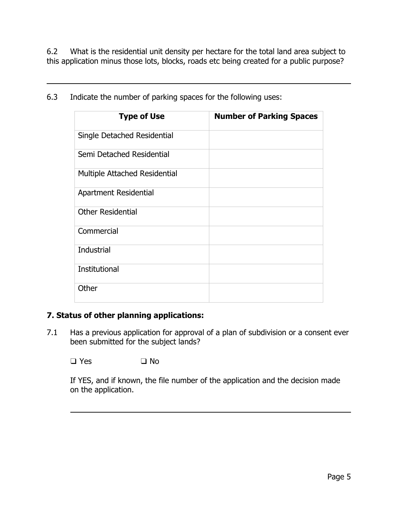6.2 What is the residential unit density per hectare for the total land area subject to this application minus those lots, blocks, roads etc being created for a public purpose?

| <b>Type of Use</b>            | <b>Number of Parking Spaces</b> |
|-------------------------------|---------------------------------|
| Single Detached Residential   |                                 |
| Semi Detached Residential     |                                 |
| Multiple Attached Residential |                                 |
| Apartment Residential         |                                 |
| <b>Other Residential</b>      |                                 |
| Commercial                    |                                 |
| Industrial                    |                                 |
| Institutional                 |                                 |
| Other                         |                                 |

6.3 Indicate the number of parking spaces for the following uses:

l

## **7. Status of other planning applications:**

7.1 Has a previous application for approval of a plan of subdivision or a consent ever been submitted for the subject lands?

❑ Yes ❑ No

 $\overline{a}$ 

If YES, and if known, the file number of the application and the decision made on the application.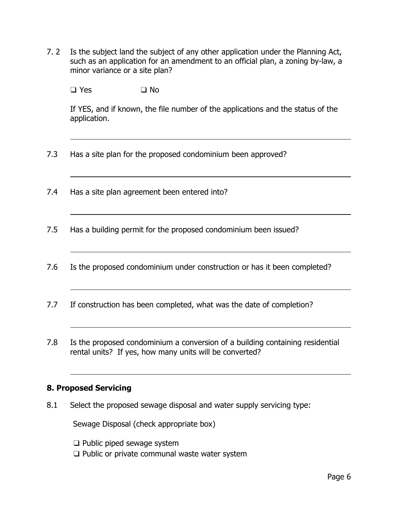7. 2 Is the subject land the subject of any other application under the Planning Act, such as an application for an amendment to an official plan, a zoning by-law, a minor variance or a site plan?

❑ Yes ❑ No

l

 $\overline{a}$ 

 $\overline{a}$ 

 $\overline{a}$ 

l

 $\overline{a}$ 

 $\overline{a}$ 

If YES, and if known, the file number of the applications and the status of the application.

- 7.3 Has a site plan for the proposed condominium been approved?
- 7.4 Has a site plan agreement been entered into?
- 7.5 Has a building permit for the proposed condominium been issued?
- 7.6 Is the proposed condominium under construction or has it been completed?
- 7.7 If construction has been completed, what was the date of completion?
- 7.8 Is the proposed condominium a conversion of a building containing residential rental units? If yes, how many units will be converted?

## **8. Proposed Servicing**

8.1 Select the proposed sewage disposal and water supply servicing type:

Sewage Disposal (check appropriate box)

- ❑ Public piped sewage system
- ❑ Public or private communal waste water system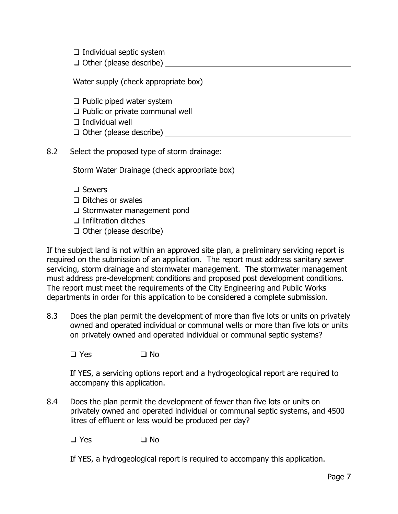❑ Individual septic system

|  |  |  | $\Box$ Other (please describe) |  |
|--|--|--|--------------------------------|--|
|--|--|--|--------------------------------|--|

Water supply (check appropriate box)

❑ Public piped water system

❑ Public or private communal well

❑ Individual well

❑ Other (please describe)

8.2 Select the proposed type of storm drainage:

Storm Water Drainage (check appropriate box)

- ❑ Sewers
- ❑ Ditches or swales
- ❑ Stormwater management pond

❑ Infiltration ditches

❑ Other (please describe)

If the subject land is not within an approved site plan, a preliminary servicing report is required on the submission of an application. The report must address sanitary sewer servicing, storm drainage and stormwater management. The stormwater management must address pre-development conditions and proposed post development conditions. The report must meet the requirements of the City Engineering and Public Works departments in order for this application to be considered a complete submission.

8.3 Does the plan permit the development of more than five lots or units on privately owned and operated individual or communal wells or more than five lots or units on privately owned and operated individual or communal septic systems?

❑ Yes ❑ No

If YES, a servicing options report and a hydrogeological report are required to accompany this application.

8.4 Does the plan permit the development of fewer than five lots or units on privately owned and operated individual or communal septic systems, and 4500 litres of effluent or less would be produced per day?

❑ Yes ❑ No

If YES, a hydrogeological report is required to accompany this application.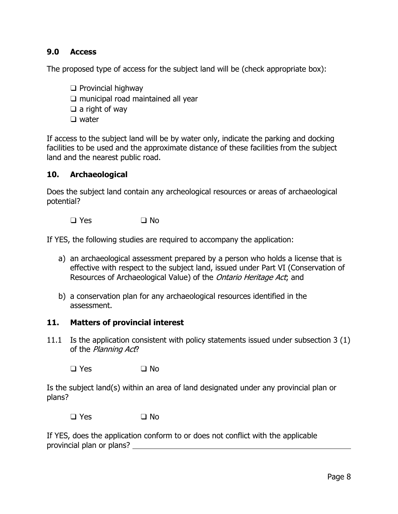## **9.0 Access**

The proposed type of access for the subject land will be (check appropriate box):

- ❑ Provincial highway
- ❑ municipal road maintained all year
- $\Box$  a right of way
- ❑ water

If access to the subject land will be by water only, indicate the parking and docking facilities to be used and the approximate distance of these facilities from the subject land and the nearest public road.

#### **10. Archaeological**

Does the subject land contain any archeological resources or areas of archaeological potential?

❑ Yes ❑ No

If YES, the following studies are required to accompany the application:

- a) an archaeological assessment prepared by a person who holds a license that is effective with respect to the subject land, issued under Part VI (Conservation of Resources of Archaeological Value) of the *Ontario Heritage Act*; and
- b) a conservation plan for any archaeological resources identified in the assessment.

#### **11. Matters of provincial interest**

11.1 Is the application consistent with policy statements issued under subsection 3 (1) of the Planning Act?

❑ Yes ❑ No

Is the subject land(s) within an area of land designated under any provincial plan or plans?

❑ Yes ❑ No

If YES, does the application conform to or does not conflict with the applicable provincial plan or plans?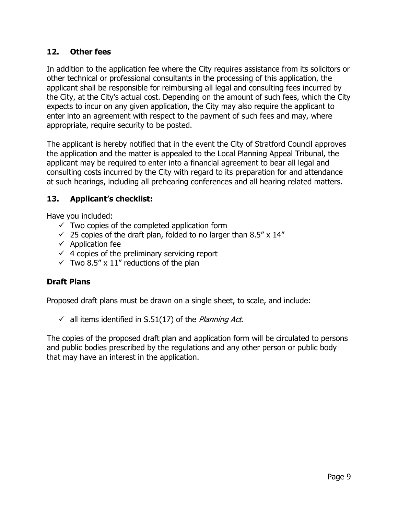## **12. Other fees**

In addition to the application fee where the City requires assistance from its solicitors or other technical or professional consultants in the processing of this application, the applicant shall be responsible for reimbursing all legal and consulting fees incurred by the City, at the City's actual cost. Depending on the amount of such fees, which the City expects to incur on any given application, the City may also require the applicant to enter into an agreement with respect to the payment of such fees and may, where appropriate, require security to be posted.

The applicant is hereby notified that in the event the City of Stratford Council approves the application and the matter is appealed to the Local Planning Appeal Tribunal, the applicant may be required to enter into a financial agreement to bear all legal and consulting costs incurred by the City with regard to its preparation for and attendance at such hearings, including all prehearing conferences and all hearing related matters.

## **13. Applicant's checklist:**

Have you included:

- $\checkmark$  Two copies of the completed application form
- $\checkmark$  25 copies of the draft plan, folded to no larger than 8.5" x 14"
- $\checkmark$  Application fee
- $\checkmark$  4 copies of the preliminary servicing report
- $\checkmark$  Two 8.5" x 11" reductions of the plan

## **Draft Plans**

Proposed draft plans must be drawn on a single sheet, to scale, and include:

 $\checkmark$  all items identified in S.51(17) of the Planning Act.

The copies of the proposed draft plan and application form will be circulated to persons and public bodies prescribed by the regulations and any other person or public body that may have an interest in the application.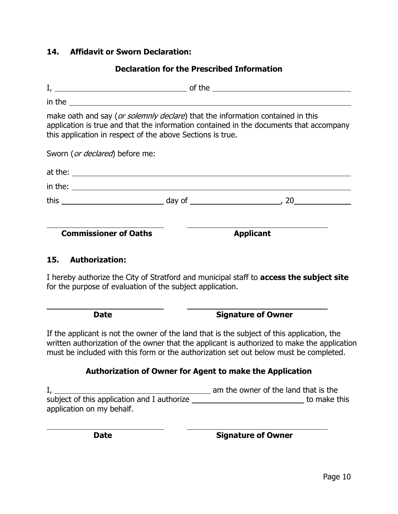## **14. Affidavit or Sworn Declaration:**

# **Declaration for the Prescribed Information**  $I,$   $\_\_\_\_\_\_\_\_\_\_\_\_$  of the  $\_\_\_\_\_\_\_\_\_\_\_\_\_\_\_\_$ in the make oath and say (or solemnly declare) that the information contained in this application is true and that the information contained in the documents that accompany this application in respect of the above Sections is true.

Sworn (or declared) before me:

| at the: |                        |    |
|---------|------------------------|----|
| in the: |                        |    |
| this    | day of _______________ | 20 |
|         |                        |    |

**Commissioner of Oaths Applicant** 

#### **15. Authorization:**

 $\overline{a}$ 

 $\overline{a}$ 

I hereby authorize the City of Stratford and municipal staff to **access the subject site** for the purpose of evaluation of the subject application.

| <b>Date</b> | <b>Signature of Owner</b> |
|-------------|---------------------------|
|-------------|---------------------------|

If the applicant is not the owner of the land that is the subject of this application, the written authorization of the owner that the applicant is authorized to make the application must be included with this form or the authorization set out below must be completed.

#### **Authorization of Owner for Agent to make the Application**

I, am the owner of the land that is the subject of this application and I authorize **the matter of the state of this** application on my behalf.

**Date Signature of Owner**